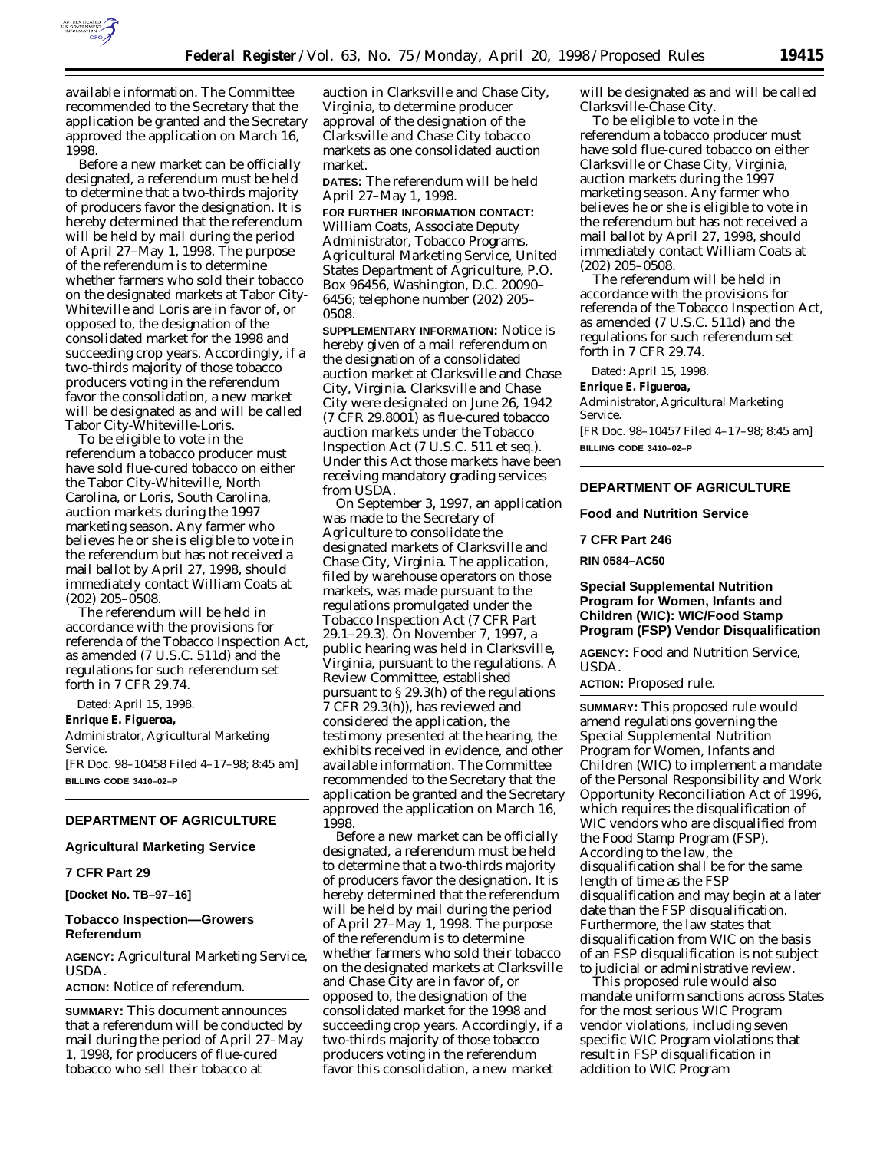

available information. The Committee recommended to the Secretary that the application be granted and the Secretary approved the application on March 16, 1998.

Before a new market can be officially designated, a referendum must be held to determine that a two-thirds majority of producers favor the designation. It is hereby determined that the referendum will be held by mail during the period of April 27–May 1, 1998. The purpose of the referendum is to determine whether farmers who sold their tobacco on the designated markets at Tabor City-Whiteville and Loris are in favor of, or opposed to, the designation of the consolidated market for the 1998 and succeeding crop years. Accordingly, if a two-thirds majority of those tobacco producers voting in the referendum favor the consolidation, a new market will be designated as and will be called Tabor City-Whiteville-Loris.

To be eligible to vote in the referendum a tobacco producer must have sold flue-cured tobacco on either the Tabor City-Whiteville, North Carolina, or Loris, South Carolina, auction markets during the 1997 marketing season. Any farmer who believes he or she is eligible to vote in the referendum but has not received a mail ballot by April 27, 1998, should immediately contact William Coats at (202) 205–0508.

The referendum will be held in accordance with the provisions for referenda of the Tobacco Inspection Act, as amended (7 U.S.C. 511d) and the regulations for such referendum set forth in 7 CFR 29.74.

Dated: April 15, 1998.

**Enrique E. Figueroa,**

*Administrator, Agricultural Marketing Service.*

[FR Doc. 98–10458 Filed 4–17–98; 8:45 am] **BILLING CODE 3410–02–P**

# **DEPARTMENT OF AGRICULTURE**

# **Agricultural Marketing Service**

# **7 CFR Part 29**

**[Docket No. TB–97–16]**

### **Tobacco Inspection—Growers Referendum**

**AGENCY:** Agricultural Marketing Service, USDA.

**ACTION:** Notice of referendum.

**SUMMARY:** This document announces that a referendum will be conducted by mail during the period of April 27–May 1, 1998, for producers of flue-cured tobacco who sell their tobacco at

auction in Clarksville and Chase City, Virginia, to determine producer approval of the designation of the Clarksville and Chase City tobacco markets as one consolidated auction market.

**DATES:** The referendum will be held April 27–May 1, 1998.

**FOR FURTHER INFORMATION CONTACT:** William Coats, Associate Deputy Administrator, Tobacco Programs, Agricultural Marketing Service, United States Department of Agriculture, P.O. Box 96456, Washington, D.C. 20090– 6456; telephone number (202) 205– 0508.

**SUPPLEMENTARY INFORMATION:** Notice is hereby given of a mail referendum on the designation of a consolidated auction market at Clarksville and Chase City, Virginia. Clarksville and Chase City were designated on June 26, 1942 (7 CFR 29.8001) as flue-cured tobacco auction markets under the Tobacco Inspection Act (7 U.S.C. 511 *et seq.*). Under this Act those markets have been receiving mandatory grading services from USDA.

On September 3, 1997, an application was made to the Secretary of Agriculture to consolidate the designated markets of Clarksville and Chase City, Virginia. The application, filed by warehouse operators on those markets, was made pursuant to the regulations promulgated under the Tobacco Inspection Act (7 CFR Part 29.1–29.3). On November 7, 1997, a public hearing was held in Clarksville, Virginia, pursuant to the regulations. A Review Committee, established pursuant to § 29.3(h) of the regulations 7 CFR 29.3(h)), has reviewed and considered the application, the testimony presented at the hearing, the exhibits received in evidence, and other available information. The Committee recommended to the Secretary that the application be granted and the Secretary approved the application on March 16, 1998.

Before a new market can be officially designated, a referendum must be held to determine that a two-thirds majority of producers favor the designation. It is hereby determined that the referendum will be held by mail during the period of April 27–May 1, 1998. The purpose of the referendum is to determine whether farmers who sold their tobacco on the designated markets at Clarksville and Chase City are in favor of, or opposed to, the designation of the consolidated market for the 1998 and succeeding crop years. Accordingly, if a two-thirds majority of those tobacco producers voting in the referendum favor this consolidation, a new market

will be designated as and will be called Clarksville-Chase City.

To be eligible to vote in the referendum a tobacco producer must have sold flue-cured tobacco on either Clarksville or Chase City, Virginia, auction markets during the 1997 marketing season. Any farmer who believes he or she is eligible to vote in the referendum but has not received a mail ballot by April 27, 1998, should immediately contact William Coats at (202) 205–0508.

The referendum will be held in accordance with the provisions for referenda of the Tobacco Inspection Act, as amended (7 U.S.C. 511d) and the regulations for such referendum set forth in 7 CFR 29.74.

Dated: April 15, 1998.

### **Enrique E. Figueroa,**

*Administrator, Agricultural Marketing Service.*

[FR Doc. 98–10457 Filed 4–17–98; 8:45 am] **BILLING CODE 3410–02–P**

# **DEPARTMENT OF AGRICULTURE**

**Food and Nutrition Service**

### **7 CFR Part 246**

**RIN 0584–AC50**

# **Special Supplemental Nutrition Program for Women, Infants and Children (WIC): WIC/Food Stamp Program (FSP) Vendor Disqualification**

**AGENCY:** Food and Nutrition Service, USDA.

**ACTION:** Proposed rule.

**SUMMARY:** This proposed rule would amend regulations governing the Special Supplemental Nutrition Program for Women, Infants and Children (WIC) to implement a mandate of the Personal Responsibility and Work Opportunity Reconciliation Act of 1996, which requires the disqualification of WIC vendors who are disqualified from the Food Stamp Program (FSP). According to the law, the disqualification shall be for the same length of time as the FSP disqualification and may begin at a later date than the FSP disqualification. Furthermore, the law states that disqualification from WIC on the basis of an FSP disqualification is not subject to judicial or administrative review.

This proposed rule would also mandate uniform sanctions across States for the most serious WIC Program vendor violations, including seven specific WIC Program violations that result in FSP disqualification in addition to WIC Program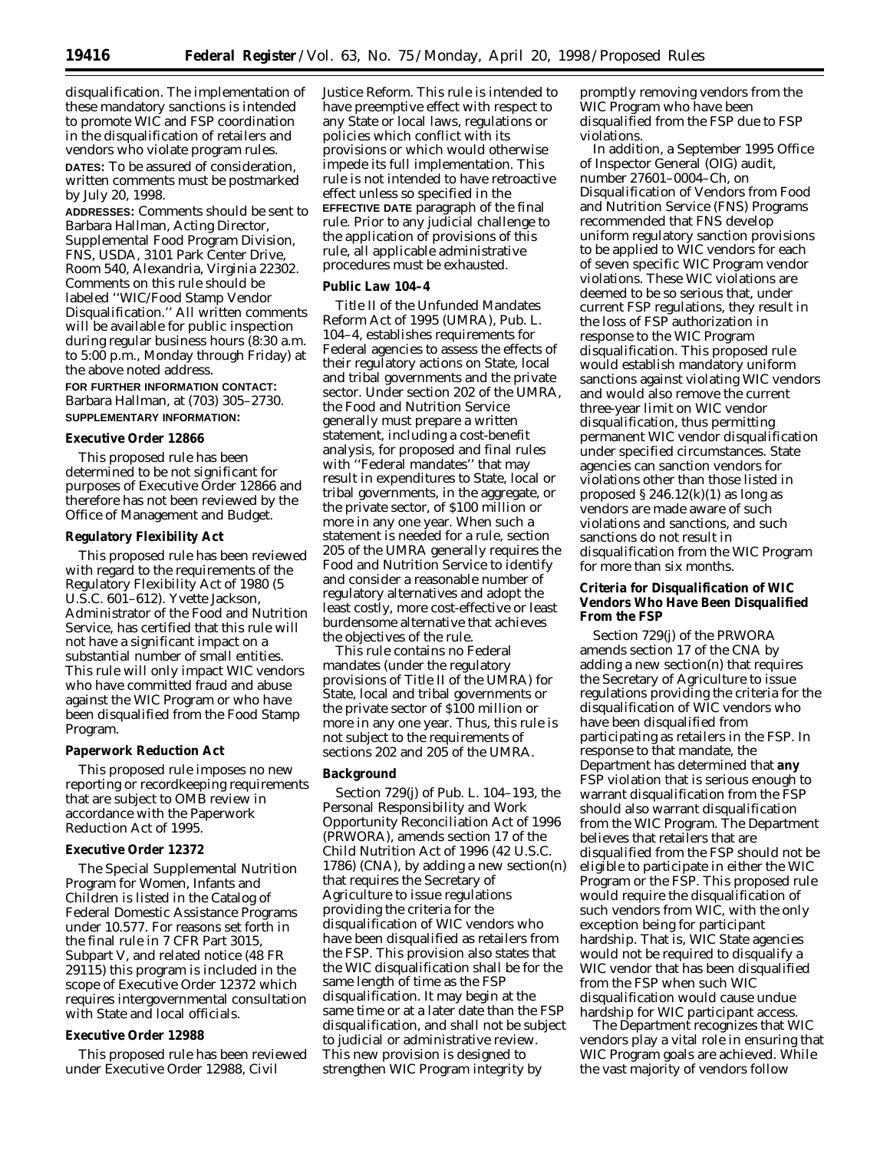disqualification. The implementation of these mandatory sanctions is intended to promote WIC and FSP coordination in the disqualification of retailers and vendors who violate program rules.

**DATES:** To be assured of consideration, written comments must be postmarked by July 20, 1998.

**ADDRESSES:** Comments should be sent to Barbara Hallman, Acting Director, Supplemental Food Program Division, FNS, USDA, 3101 Park Center Drive, Room 540, Alexandria, Virginia 22302. Comments on this rule should be labeled ''WIC/Food Stamp Vendor Disqualification.'' All written comments will be available for public inspection during regular business hours (8:30 a.m. to 5:00 p.m., Monday through Friday) at the above noted address.

**FOR FURTHER INFORMATION CONTACT:** Barbara Hallman, at (703) 305–2730. **SUPPLEMENTARY INFORMATION:**

# **Executive Order 12866**

This proposed rule has been determined to be not significant for purposes of Executive Order 12866 and therefore has not been reviewed by the Office of Management and Budget.

### **Regulatory Flexibility Act**

This proposed rule has been reviewed with regard to the requirements of the Regulatory Flexibility Act of 1980 (5 U.S.C. 601–612). Yvette Jackson, Administrator of the Food and Nutrition Service, has certified that this rule will not have a significant impact on a substantial number of small entities. This rule will only impact WIC vendors who have committed fraud and abuse against the WIC Program or who have been disqualified from the Food Stamp Program.

### **Paperwork Reduction Act**

This proposed rule imposes no new reporting or recordkeeping requirements that are subject to OMB review in accordance with the Paperwork Reduction Act of 1995.

### **Executive Order 12372**

The Special Supplemental Nutrition Program for Women, Infants and Children is listed in the Catalog of Federal Domestic Assistance Programs under 10.577. For reasons set forth in the final rule in 7 CFR Part 3015, Subpart V, and related notice (48 FR 29115) this program is included in the scope of Executive Order 12372 which requires intergovernmental consultation with State and local officials.

# **Executive Order 12988**

This proposed rule has been reviewed under Executive Order 12988, Civil

Justice Reform. This rule is intended to have preemptive effect with respect to any State or local laws, regulations or policies which conflict with its provisions or which would otherwise impede its full implementation. This rule is not intended to have retroactive effect unless so specified in the **EFFECTIVE DATE** paragraph of the final rule. Prior to any judicial challenge to the application of provisions of this rule, all applicable administrative procedures must be exhausted.

### **Public Law 104–4**

Title II of the Unfunded Mandates Reform Act of 1995 (UMRA), Pub. L. 104–4, establishes requirements for Federal agencies to assess the effects of their regulatory actions on State, local and tribal governments and the private sector. Under section 202 of the UMRA, the Food and Nutrition Service generally must prepare a written statement, including a cost-benefit analysis, for proposed and final rules with ''Federal mandates'' that may result in expenditures to State, local or tribal governments, in the aggregate, or the private sector, of \$100 million or more in any one year. When such a statement is needed for a rule, section 205 of the UMRA generally requires the Food and Nutrition Service to identify and consider a reasonable number of regulatory alternatives and adopt the least costly, more cost-effective or least burdensome alternative that achieves the objectives of the rule.

This rule contains no Federal mandates (under the regulatory provisions of Title II of the UMRA) for State, local and tribal governments or the private sector of \$100 million or more in any one year. Thus, this rule is not subject to the requirements of sections 202 and 205 of the UMRA.

### **Background**

Section 729(j) of Pub. L. 104–193, the Personal Responsibility and Work Opportunity Reconciliation Act of 1996 (PRWORA), amends section 17 of the Child Nutrition Act of 1996 (42 U.S.C. 1786) (CNA), by adding a new section(n) that requires the Secretary of Agriculture to issue regulations providing the criteria for the disqualification of WIC vendors who have been disqualified as retailers from the FSP. This provision also states that the WIC disqualification shall be for the same length of time as the FSP disqualification. It may begin at the same time or at a later date than the FSP disqualification, and shall not be subject to judicial or administrative review. This new provision is designed to strengthen WIC Program integrity by

promptly removing vendors from the WIC Program who have been disqualified from the FSP due to FSP violations.

In addition, a September 1995 Office of Inspector General (OIG) audit, number 27601–0004–Ch, on Disqualification of Vendors from Food and Nutrition Service (FNS) Programs recommended that FNS develop uniform regulatory sanction provisions to be applied to WIC vendors for each of seven specific WIC Program vendor violations. These WIC violations are deemed to be so serious that, under current FSP regulations, they result in the loss of FSP authorization in response to the WIC Program disqualification. This proposed rule would establish mandatory uniform sanctions against violating WIC vendors and would also remove the current three-year limit on WIC vendor disqualification, thus permitting permanent WIC vendor disqualification under specified circumstances. State agencies can sanction vendors for violations other than those listed in proposed  $\S 246.12(k)(1)$  as long as vendors are made aware of such violations and sanctions, and such sanctions do not result in disqualification from the WIC Program for more than six months.

### **Criteria for Disqualification of WIC Vendors Who Have Been Disqualified From the FSP**

Section 729(j) of the PRWORA amends section 17 of the CNA by adding a new section(n) that requires the Secretary of Agriculture to issue regulations providing the criteria for the disqualification of WIC vendors who have been disqualified from participating as retailers in the FSP. In response to that mandate, the Department has determined that **any** FSP violation that is serious enough to warrant disqualification from the FSP should also warrant disqualification from the WIC Program. The Department believes that retailers that are disqualified from the FSP should not be eligible to participate in either the WIC Program or the FSP. This proposed rule would require the disqualification of such vendors from WIC, with the only exception being for participant hardship. That is, WIC State agencies would not be required to disqualify a WIC vendor that has been disqualified from the FSP when such WIC disqualification would cause undue hardship for WIC participant access.

The Department recognizes that WIC vendors play a vital role in ensuring that WIC Program goals are achieved. While the vast majority of vendors follow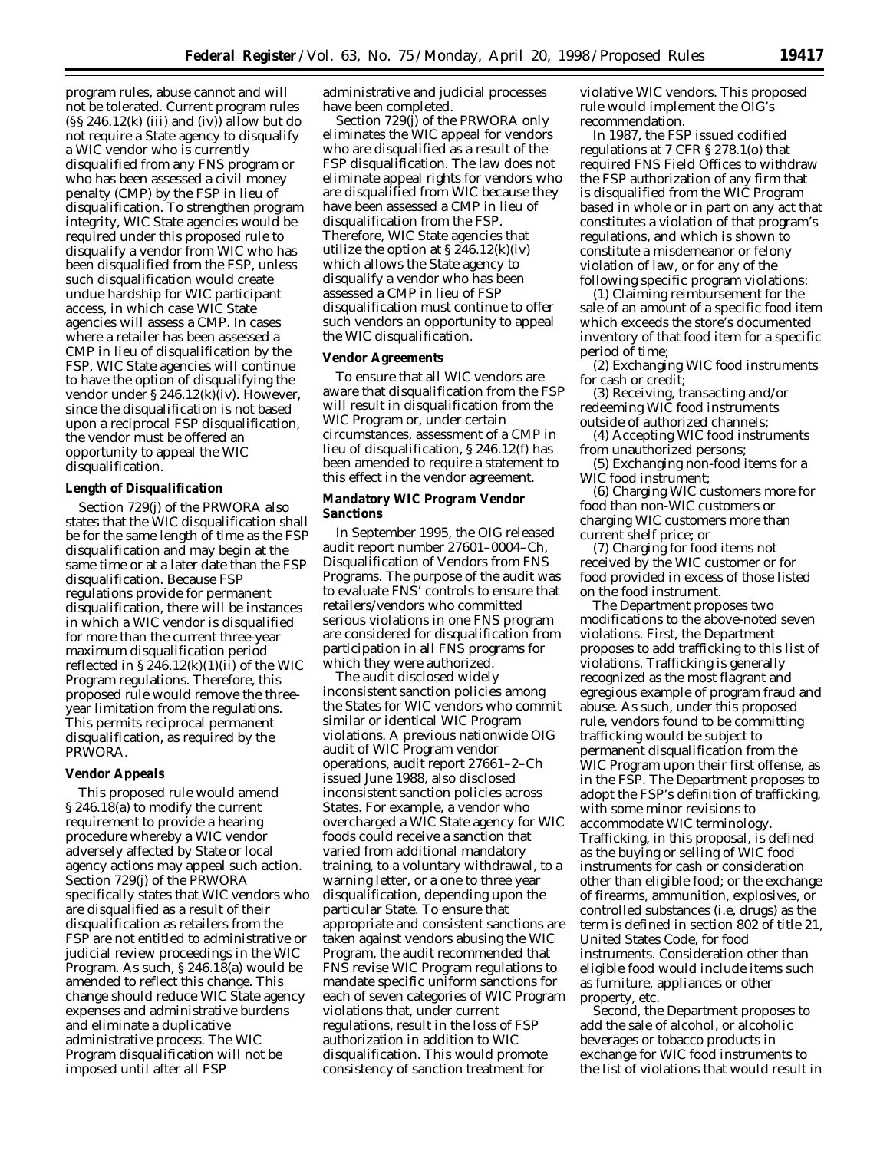program rules, abuse cannot and will not be tolerated. Current program rules  $(S\ S\ 246.12(k)$  (iii) and (iv)) allow but do not require a State agency to disqualify a WIC vendor who is currently disqualified from any FNS program or who has been assessed a civil money penalty (CMP) by the FSP in lieu of disqualification. To strengthen program integrity, WIC State agencies would be required under this proposed rule to disqualify a vendor from WIC who has been disqualified from the FSP, unless such disqualification would create undue hardship for WIC participant access, in which case WIC State agencies will assess a CMP. In cases where a retailer has been assessed a CMP in lieu of disqualification by the FSP, WIC State agencies will continue to have the option of disqualifying the vendor under § 246.12(k)(iv). However, since the disqualification is not based upon a reciprocal FSP disqualification, the vendor must be offered an opportunity to appeal the WIC disqualification.

### **Length of Disqualification**

Section 729(j) of the PRWORA also states that the WIC disqualification shall be for the same length of time as the FSP disqualification and may begin at the same time or at a later date than the FSP disqualification. Because FSP regulations provide for permanent disqualification, there will be instances in which a WIC vendor is disqualified for more than the current three-year maximum disqualification period reflected in  $\S 246.12(k)(1)(ii)$  of the WIC Program regulations. Therefore, this proposed rule would remove the threeyear limitation from the regulations. This permits reciprocal permanent disqualification, as required by the PRWORA.

### **Vendor Appeals**

This proposed rule would amend § 246.18(a) to modify the current requirement to provide a hearing procedure whereby a WIC vendor adversely affected by State or local agency actions may appeal such action. Section 729(j) of the PRWORA specifically states that WIC vendors who are disqualified as a result of their disqualification as retailers from the FSP are not entitled to administrative or judicial review proceedings in the WIC Program. As such, § 246.18(a) would be amended to reflect this change. This change should reduce WIC State agency expenses and administrative burdens and eliminate a duplicative administrative process. The WIC Program disqualification will not be imposed until after all FSP

administrative and judicial processes have been completed.

Section 729(j) of the PRWORA only eliminates the WIC appeal for vendors who are disqualified as a result of the FSP disqualification. The law does not eliminate appeal rights for vendors who are disqualified from WIC because they have been assessed a CMP in lieu of disqualification from the FSP. Therefore, WIC State agencies that utilize the option at § 246.12(k)(iv) which allows the State agency to disqualify a vendor who has been assessed a CMP in lieu of FSP disqualification must continue to offer such vendors an opportunity to appeal the WIC disqualification.

### **Vendor Agreements**

To ensure that all WIC vendors are aware that disqualification from the FSP will result in disqualification from the WIC Program or, under certain circumstances, assessment of a CMP in lieu of disqualification, § 246.12(f) has been amended to require a statement to this effect in the vendor agreement.

### **Mandatory WIC Program Vendor Sanctions**

In September 1995, the OIG released audit report number 27601–0004–Ch, Disqualification of Vendors from FNS Programs. The purpose of the audit was to evaluate FNS' controls to ensure that retailers/vendors who committed serious violations in one FNS program are considered for disqualification from participation in all FNS programs for which they were authorized.

The audit disclosed widely inconsistent sanction policies among the States for WIC vendors who commit similar or identical WIC Program violations. A previous nationwide OIG audit of WIC Program vendor operations, audit report 27661–2–Ch issued June 1988, also disclosed inconsistent sanction policies across States. For example, a vendor who overcharged a WIC State agency for WIC foods could receive a sanction that varied from additional mandatory training, to a voluntary withdrawal, to a warning letter, or a one to three year disqualification, depending upon the particular State. To ensure that appropriate and consistent sanctions are taken against vendors abusing the WIC Program, the audit recommended that FNS revise WIC Program regulations to mandate specific uniform sanctions for each of seven categories of WIC Program violations that, under current regulations, result in the loss of FSP authorization in addition to WIC disqualification. This would promote consistency of sanction treatment for

violative WIC vendors. This proposed rule would implement the OIG's recommendation.

In 1987, the FSP issued codified regulations at 7 CFR § 278.1(o) that required FNS Field Offices to withdraw the FSP authorization of any firm that is disqualified from the WIC Program based in whole or in part on any act that constitutes a violation of that program's regulations, and which is shown to constitute a misdemeanor or felony violation of law, or for any of the following specific program violations:

(1) Claiming reimbursement for the sale of an amount of a specific food item which exceeds the store's documented inventory of that food item for a specific period of time;

(2) Exchanging WIC food instruments for cash or credit;

(3) Receiving, transacting and/or redeeming WIC food instruments outside of authorized channels;

(4) Accepting WIC food instruments from unauthorized persons;

(5) Exchanging non-food items for a WIC food instrument;

(6) Charging WIC customers more for food than non-WIC customers or charging WIC customers more than current shelf price; or

(7) Charging for food items not received by the WIC customer or for food provided in excess of those listed on the food instrument.

The Department proposes two modifications to the above-noted seven violations. First, the Department proposes to add trafficking to this list of violations. Trafficking is generally recognized as the most flagrant and egregious example of program fraud and abuse. As such, under this proposed rule, vendors found to be committing trafficking would be subject to permanent disqualification from the WIC Program upon their first offense, as in the FSP. The Department proposes to adopt the FSP's definition of trafficking, with some minor revisions to accommodate WIC terminology. Trafficking, in this proposal, is defined as the buying or selling of WIC food instruments for cash or consideration other than eligible food; or the exchange of firearms, ammunition, explosives, or controlled substances (i.e, drugs) as the term is defined in section 802 of title 21, United States Code, for food instruments. Consideration other than eligible food would include items such as furniture, appliances or other property, etc.

Second, the Department proposes to add the sale of alcohol, or alcoholic beverages or tobacco products in exchange for WIC food instruments to the list of violations that would result in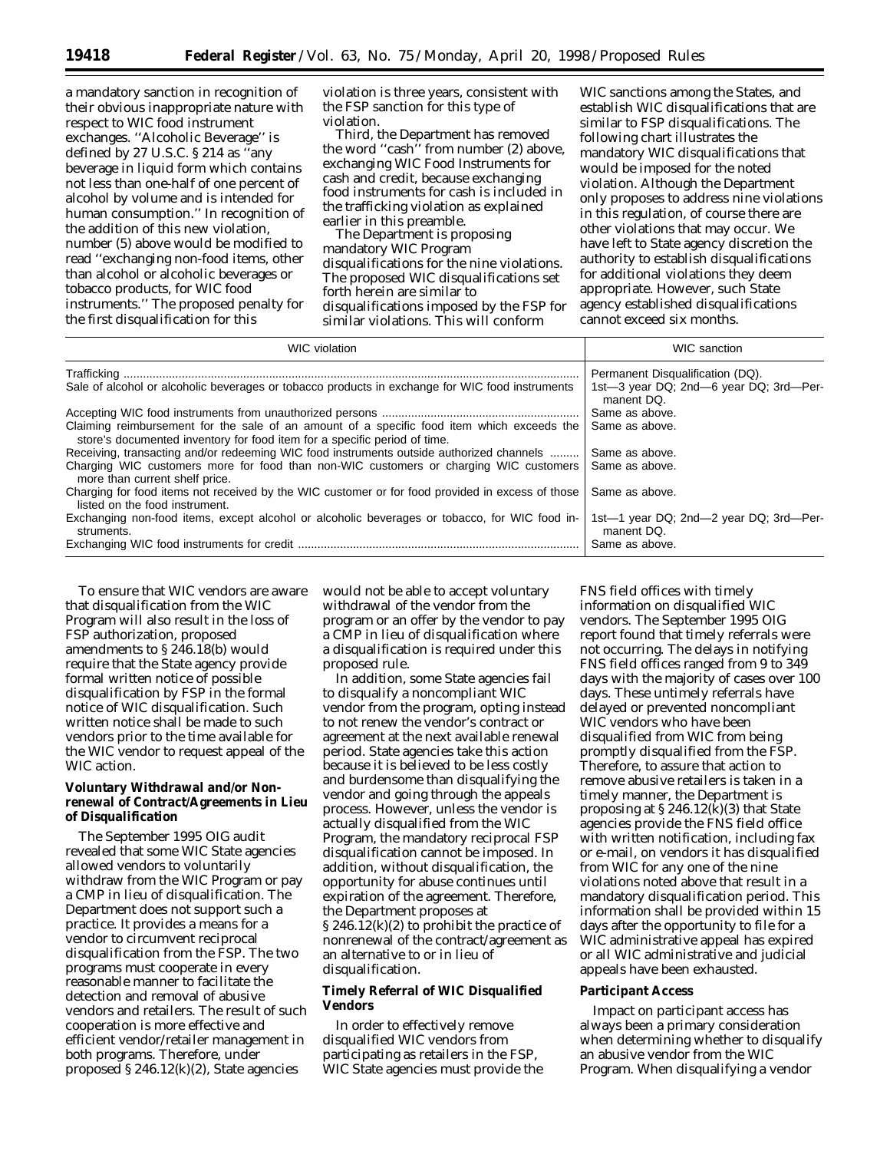a mandatory sanction in recognition of their obvious inappropriate nature with respect to WIC food instrument exchanges. ''Alcoholic Beverage'' is defined by 27 U.S.C. § 214 as ''any beverage in liquid form which contains not less than one-half of one percent of alcohol by volume and is intended for human consumption.'' In recognition of the addition of this new violation, number (5) above would be modified to read ''exchanging non-food items, other than alcohol or alcoholic beverages or tobacco products, for WIC food instruments.'' The proposed penalty for the first disqualification for this

violation is three years, consistent with the FSP sanction for this type of violation.

Third, the Department has removed the word ''cash'' from number (2) above, exchanging WIC Food Instruments for cash and credit, because exchanging food instruments for cash is included in the trafficking violation as explained earlier in this preamble.

The Department is proposing mandatory WIC Program disqualifications for the nine violations. The proposed WIC disqualifications set forth herein are similar to disqualifications imposed by the FSP for similar violations. This will conform

WIC sanctions among the States, and establish WIC disqualifications that are similar to FSP disqualifications. The following chart illustrates the mandatory WIC disqualifications that would be imposed for the noted violation. Although the Department only proposes to address nine violations in this regulation, of course there are other violations that may occur. We have left to State agency discretion the authority to establish disqualifications for additional violations they deem appropriate. However, such State agency established disqualifications cannot exceed six months.

| <b>WIC</b> violation                                                                                                                                                    | <b>WIC</b> sanction                                  |
|-------------------------------------------------------------------------------------------------------------------------------------------------------------------------|------------------------------------------------------|
|                                                                                                                                                                         | Permanent Disqualification (DQ).                     |
| Sale of alcohol or alcoholic beverages or tobacco products in exchange for WIC food instruments                                                                         | 1st-3 year DQ; 2nd-6 year DQ; 3rd-Per-<br>manent DQ. |
|                                                                                                                                                                         | Same as above.                                       |
| Claiming reimbursement for the sale of an amount of a specific food item which exceeds the<br>store's documented inventory for food item for a specific period of time. | Same as above.                                       |
| Receiving, transacting and/or redeeming WIC food instruments outside authorized channels                                                                                | Same as above.                                       |
| Charging WIC customers more for food than non-WIC customers or charging WIC customers<br>more than current shelf price.                                                 | Same as above.                                       |
| Charging for food items not received by the WIC customer or for food provided in excess of those<br>listed on the food instrument.                                      | Same as above.                                       |
| Exchanging non-food items, except alcohol or alcoholic beverages or tobacco, for WIC food in-<br>struments.                                                             | 1st-1 year DQ; 2nd-2 year DQ; 3rd-Per-<br>manent DQ. |
|                                                                                                                                                                         | Same as above.                                       |

To ensure that WIC vendors are aware that disqualification from the WIC Program will also result in the loss of FSP authorization, proposed amendments to § 246.18(b) would require that the State agency provide formal written notice of possible disqualification by FSP in the formal notice of WIC disqualification. Such written notice shall be made to such vendors prior to the time available for the WIC vendor to request appeal of the WIC action.

# **Voluntary Withdrawal and/or Nonrenewal of Contract/Agreements in Lieu of Disqualification**

The September 1995 OIG audit revealed that some WIC State agencies allowed vendors to voluntarily withdraw from the WIC Program or pay a CMP in lieu of disqualification. The Department does not support such a practice. It provides a means for a vendor to circumvent reciprocal disqualification from the FSP. The two programs must cooperate in every reasonable manner to facilitate the detection and removal of abusive vendors and retailers. The result of such cooperation is more effective and efficient vendor/retailer management in both programs. Therefore, under proposed § 246.12(k)(2), State agencies

would not be able to accept voluntary withdrawal of the vendor from the program or an offer by the vendor to pay a CMP in lieu of disqualification where a disqualification is required under this proposed rule.

In addition, some State agencies fail to disqualify a noncompliant WIC vendor from the program, opting instead to not renew the vendor's contract or agreement at the next available renewal period. State agencies take this action because it is believed to be less costly and burdensome than disqualifying the vendor and going through the appeals process. However, unless the vendor is actually disqualified from the WIC Program, the mandatory reciprocal FSP disqualification cannot be imposed. In addition, without disqualification, the opportunity for abuse continues until expiration of the agreement. Therefore, the Department proposes at § 246.12(k)(2) to prohibit the practice of nonrenewal of the contract/agreement as an alternative to or in lieu of disqualification.

# **Timely Referral of WIC Disqualified Vendors**

In order to effectively remove disqualified WIC vendors from participating as retailers in the FSP, WIC State agencies must provide the

FNS field offices with timely information on disqualified WIC vendors. The September 1995 OIG report found that timely referrals were not occurring. The delays in notifying FNS field offices ranged from 9 to 349 days with the majority of cases over 100 days. These untimely referrals have delayed or prevented noncompliant WIC vendors who have been disqualified from WIC from being promptly disqualified from the FSP. Therefore, to assure that action to remove abusive retailers is taken in a timely manner, the Department is proposing at  $\S 246.12(k)(3)$  that State agencies provide the FNS field office with written notification, including fax or e-mail, on vendors it has disqualified from WIC for any one of the nine violations noted above that result in a mandatory disqualification period. This information shall be provided within 15 days after the opportunity to file for a WIC administrative appeal has expired or all WIC administrative and judicial appeals have been exhausted.

### **Participant Access**

Impact on participant access has always been a primary consideration when determining whether to disqualify an abusive vendor from the WIC Program. When disqualifying a vendor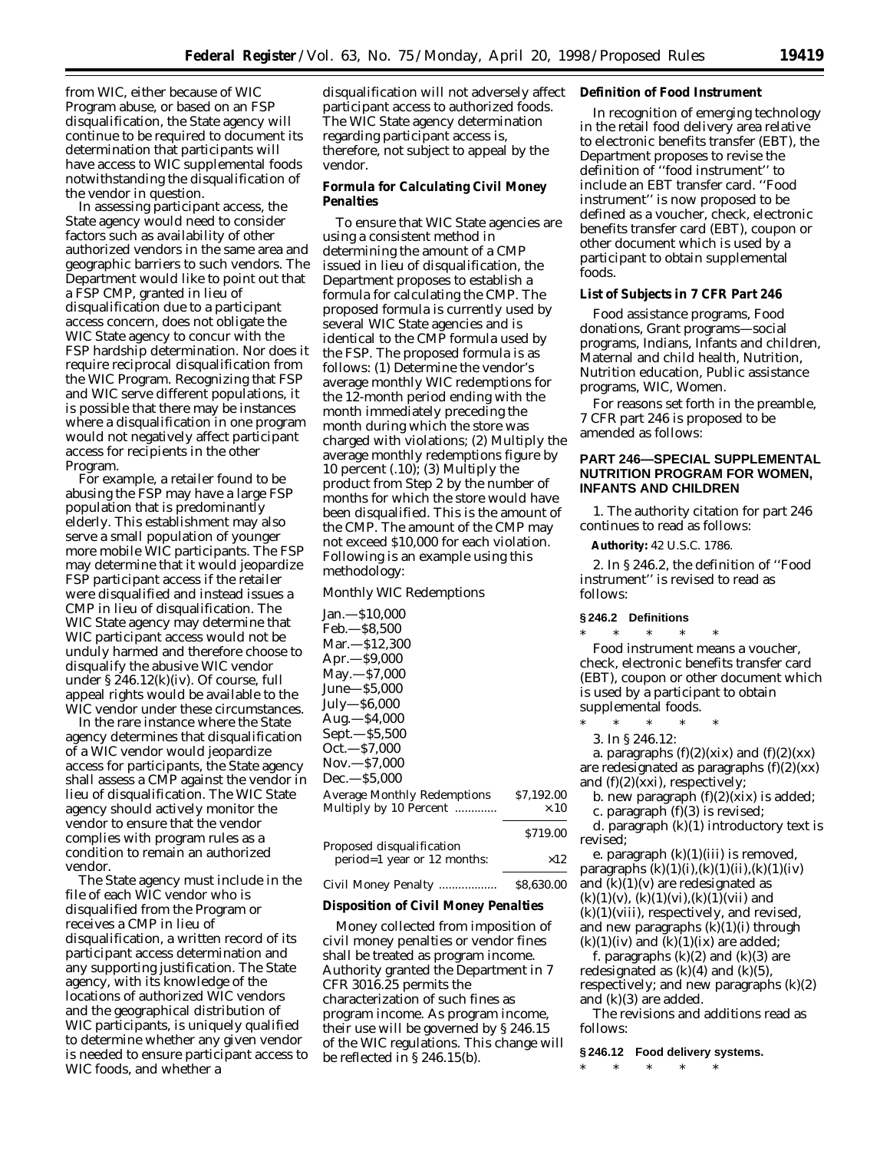from WIC, either because of WIC Program abuse, or based on an FSP disqualification, the State agency will continue to be required to document its determination that participants will have access to WIC supplemental foods notwithstanding the disqualification of the vendor in question.

In assessing participant access, the State agency would need to consider factors such as availability of other authorized vendors in the same area and geographic barriers to such vendors. The Department would like to point out that a FSP CMP, granted in lieu of disqualification due to a participant access concern, does not obligate the WIC State agency to concur with the FSP hardship determination. Nor does it require reciprocal disqualification from the WIC Program. Recognizing that FSP and WIC serve different populations, it is possible that there may be instances where a disqualification in one program would not negatively affect participant access for recipients in the other Program.

For example, a retailer found to be abusing the FSP may have a large FSP population that is predominantly elderly. This establishment may also serve a small population of younger more mobile WIC participants. The FSP may determine that it would jeopardize FSP participant access if the retailer were disqualified and instead issues a CMP in lieu of disqualification. The WIC State agency may determine that WIC participant access would not be unduly harmed and therefore choose to disqualify the abusive WIC vendor under § 246.12(k)(iv). Of course, full appeal rights would be available to the WIC vendor under these circumstances.

In the rare instance where the State agency determines that disqualification of a WIC vendor would jeopardize access for participants, the State agency shall assess a CMP against the vendor in lieu of disqualification. The WIC State agency should actively monitor the vendor to ensure that the vendor complies with program rules as a condition to remain an authorized vendor.

The State agency must include in the file of each WIC vendor who is disqualified from the Program or receives a CMP in lieu of disqualification, a written record of its participant access determination and any supporting justification. The State agency, with its knowledge of the locations of authorized WIC vendors and the geographical distribution of WIC participants, is uniquely qualified to determine whether any given vendor is needed to ensure participant access to WIC foods, and whether a

disqualification will not adversely affect **Definition of Food Instrument** participant access to authorized foods. The WIC State agency determination regarding participant access is, therefore, not subject to appeal by the vendor.

### **Formula for Calculating Civil Money Penalties**

To ensure that WIC State agencies are using a consistent method in determining the amount of a CMP issued in lieu of disqualification, the Department proposes to establish a formula for calculating the CMP. The proposed formula is currently used by several WIC State agencies and is identical to the CMP formula used by the FSP. The proposed formula is as follows: (1) Determine the vendor's average monthly WIC redemptions for the 12-month period ending with the month immediately preceding the month during which the store was charged with violations; (2) Multiply the average monthly redemptions figure by 10 percent (.10); (3) Multiply the product from Step 2 by the number of months for which the store would have been disqualified. This is the amount of the CMP. The amount of the CMP may not exceed \$10,000 for each violation. Following is an example using this methodology:

### *Monthly WIC Redemptions*

| Jan.—S10.000                       |             |
|------------------------------------|-------------|
| Feb.—\$8.500                       |             |
| Mar.—\$12.300                      |             |
| Apr.—\$9,000                       |             |
| May.—\$7,000                       |             |
| June—\$5,000                       |             |
| July—\$6,000                       |             |
| Aug.—\$4,000                       |             |
| Sept.—\$5,500                      |             |
| Oct.—\$7,000                       |             |
| Nov.—\$7,000                       |             |
| Dec.—\$5.000                       |             |
| <b>Average Monthly Redemptions</b> | \$7,192.00  |
| Multiply by 10 Percent             | $\times.10$ |
|                                    | \$719.00    |
| Proposed disqualification          |             |

| roposea aisqualification    |            |
|-----------------------------|------------|
| period=1 year or 12 months: | $\times12$ |
|                             |            |

# Civil Money Penalty .................. \$8,630.00

# **Disposition of Civil Money Penalties**

Money collected from imposition of civil money penalties or vendor fines shall be treated as program income. Authority granted the Department in 7 CFR 3016.25 permits the characterization of such fines as program income. As program income, their use will be governed by § 246.15 of the WIC regulations. This change will be reflected in § 246.15(b).

In recognition of emerging technology in the retail food delivery area relative to electronic benefits transfer (EBT), the Department proposes to revise the definition of ''food instrument'' to include an EBT transfer card. ''Food instrument'' is now proposed to be defined as a voucher, check, electronic benefits transfer card (EBT), coupon or other document which is used by a participant to obtain supplemental foods.

### **List of Subjects in 7 CFR Part 246**

Food assistance programs, Food donations, Grant programs—social programs, Indians, Infants and children, Maternal and child health, Nutrition, Nutrition education, Public assistance programs, WIC, Women.

For reasons set forth in the preamble, 7 CFR part 246 is proposed to be amended as follows:

### **PART 246—SPECIAL SUPPLEMENTAL NUTRITION PROGRAM FOR WOMEN, INFANTS AND CHILDREN**

1. The authority citation for part 246 continues to read as follows:

**Authority:** 42 U.S.C. 1786.

2. In § 246.2, the definition of ''Food instrument'' is revised to read as follows:

### **§ 246.2 Definitions**

\* \* \* \* \* *Food instrument* means a voucher, check, electronic benefits transfer card (EBT), coupon or other document which is used by a participant to obtain supplemental foods.

\* \* \* \* \*

3. In § 246.12:

a. paragraphs  $(f)(2)(xix)$  and  $(f)(2)(xx)$ are redesignated as paragraphs  $(f)(2)(xx)$ and  $(f)(2)(xx)$ , respectively;

b. new paragraph  $(f)(2)(xix)$  is added;

c. paragraph (f)(3) is revised;

d. paragraph (k)(1) introductory text is revised;

e. paragraph  $(k)(1)(iii)$  is removed, paragraphs  $(k)(1)(i),(k)(1)(ii),(k)(1)(iv)$ and  $(k)(1)(v)$  are redesignated as  $(k)(1)(v)$ ,  $(k)(1)(vi)$ ,  $(k)(1)(vii)$  and  $(k)(1)(viii)$ , respectively, and revised, and new paragraphs  $(k)(1)(i)$  through  $(k)(1)(iv)$  and  $(k)(1)(ix)$  are added;

f. paragraphs  $(k)(2)$  and  $(k)(3)$  are redesignated as  $(k)(4)$  and  $(k)(5)$ , respectively; and new paragraphs (k)(2) and (k)(3) are added.

The revisions and additions read as follows:

### **§ 246.12 Food delivery systems.**

\* \* \* \* \*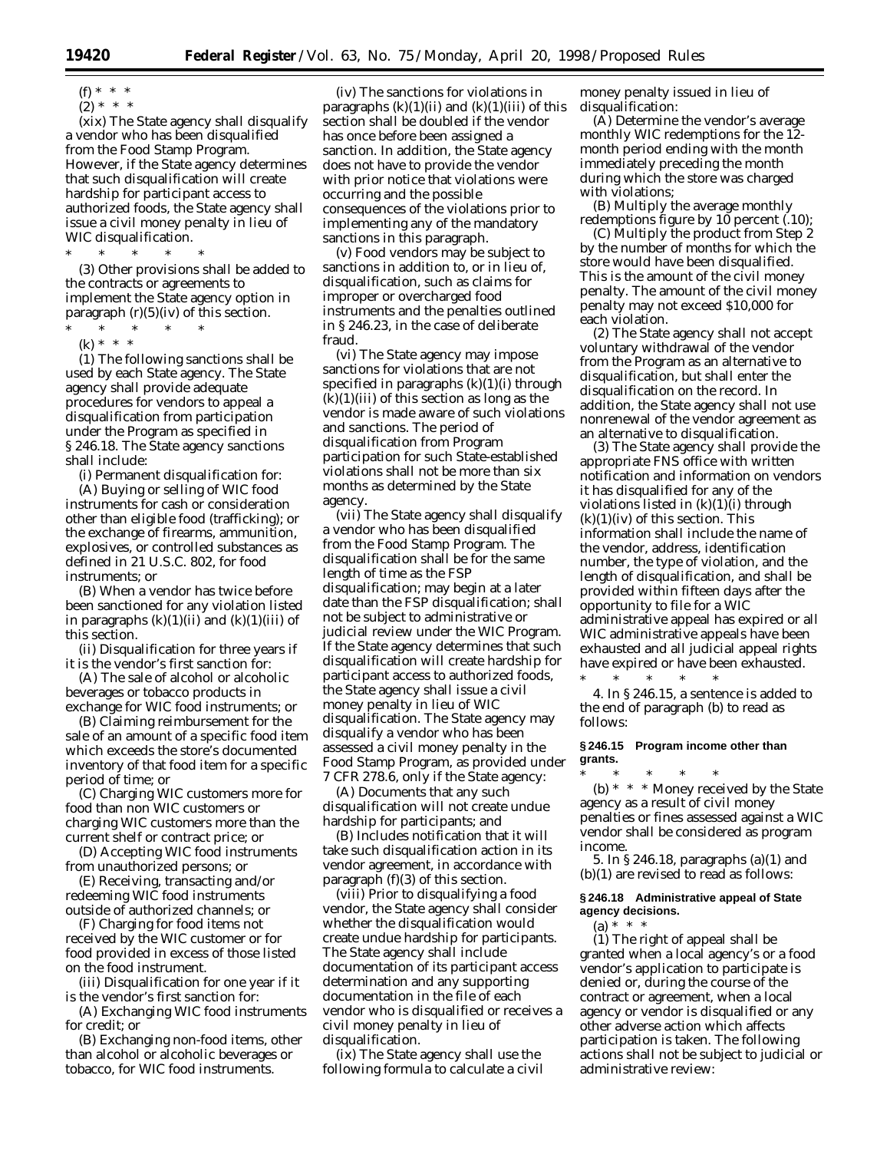(f) \* \* \*

 $(2) * * * *$ 

(xix) The State agency shall disqualify a vendor who has been disqualified from the Food Stamp Program. However, if the State agency determines that such disqualification will create hardship for participant access to authorized foods, the State agency shall issue a civil money penalty in lieu of WIC disqualification.

\* \* \* \* \*

(3) Other provisions shall be added to the contracts or agreements to implement the State agency option in paragraph  $(r)(5)(iv)$  of this section.

\* \* \* \* \*

(k) \* \* \* (1) The following sanctions shall be used by each State agency. The State agency shall provide adequate procedures for vendors to appeal a disqualification from participation under the Program as specified in § 246.18. The State agency sanctions shall include:

(i) Permanent disqualification for:

(A) Buying or selling of WIC food instruments for cash or consideration other than eligible food (trafficking); or the exchange of firearms, ammunition, explosives, or controlled substances as defined in 21 U.S.C. 802, for food instruments; or

(B) When a vendor has twice before been sanctioned for any violation listed in paragraphs  $(k)(1)(ii)$  and  $(k)(1)(iii)$  of this section.

(ii) Disqualification for three years if it is the vendor's first sanction for:

(A) The sale of alcohol or alcoholic beverages or tobacco products in exchange for WIC food instruments; or

(B) Claiming reimbursement for the sale of an amount of a specific food item which exceeds the store's documented inventory of that food item for a specific period of time; or

(C) Charging WIC customers more for food than non WIC customers or charging WIC customers more than the current shelf or contract price; or

(D) Accepting WIC food instruments from unauthorized persons; or

(E) Receiving, transacting and/or redeeming WIC food instruments outside of authorized channels; or

(F) Charging for food items not received by the WIC customer or for food provided in excess of those listed on the food instrument.

(iii) Disqualification for one year if it is the vendor's first sanction for:

(A) Exchanging WIC food instruments for credit; or

(B) Exchanging non-food items, other than alcohol or alcoholic beverages or tobacco, for WIC food instruments.

(iv) The sanctions for violations in paragraphs  $(k)(1)(ii)$  and  $(k)(1)(iii)$  of this section shall be doubled if the vendor has once before been assigned a sanction. In addition, the State agency does not have to provide the vendor with prior notice that violations were occurring and the possible consequences of the violations prior to implementing any of the mandatory sanctions in this paragraph.

(v) Food vendors may be subject to sanctions in addition to, or in lieu of, disqualification, such as claims for improper or overcharged food instruments and the penalties outlined in § 246.23, in the case of deliberate fraud.

(vi) The State agency may impose sanctions for violations that are not specified in paragraphs  $(k)(1)(i)$  through  $(k)(1)(iii)$  of this section as long as the vendor is made aware of such violations and sanctions. The period of disqualification from Program participation for such State-established violations shall not be more than six months as determined by the State agency.

(vii) The State agency shall disqualify a vendor who has been disqualified from the Food Stamp Program. The disqualification shall be for the same length of time as the FSP disqualification; may begin at a later date than the FSP disqualification; shall not be subject to administrative or judicial review under the WIC Program. If the State agency determines that such disqualification will create hardship for participant access to authorized foods, the State agency shall issue a civil money penalty in lieu of WIC disqualification. The State agency may disqualify a vendor who has been assessed a civil money penalty in the Food Stamp Program, as provided under 7 CFR 278.6, only if the State agency:

(A) Documents that any such disqualification will not create undue hardship for participants; and

(B) Includes notification that it will take such disqualification action in its vendor agreement, in accordance with paragraph (f)(3) of this section.

(viii) Prior to disqualifying a food vendor, the State agency shall consider whether the disqualification would create undue hardship for participants. The State agency shall include documentation of its participant access determination and any supporting documentation in the file of each vendor who is disqualified or receives a civil money penalty in lieu of disqualification.

(ix) The State agency shall use the following formula to calculate a civil

money penalty issued in lieu of disqualification:

(A) Determine the vendor's average monthly WIC redemptions for the 12 month period ending with the month immediately preceding the month during which the store was charged with violations;

(B) Multiply the average monthly redemptions figure by 10 percent (.10);

(C) Multiply the product from Step 2 by the number of months for which the store would have been disqualified. This is the amount of the civil money penalty. The amount of the civil money penalty may not exceed \$10,000 for each violation.

(2) The State agency shall not accept voluntary withdrawal of the vendor from the Program as an alternative to disqualification, but shall enter the disqualification on the record. In addition, the State agency shall not use nonrenewal of the vendor agreement as an alternative to disqualification.

(3) The State agency shall provide the appropriate FNS office with written notification and information on vendors it has disqualified for any of the violations listed in  $(k)(1)(i)$  through  $(k)(1)(iv)$  of this section. This information shall include the name of the vendor, address, identification number, the type of violation, and the length of disqualification, and shall be provided within fifteen days after the opportunity to file for a WIC administrative appeal has expired or all WIC administrative appeals have been exhausted and all judicial appeal rights have expired or have been exhausted.

\* \* \* \* \* 4. In § 246.15, a sentence is added to the end of paragraph (b) to read as follows:

### **§ 246.15 Program income other than grants.**

\* \* \* \* \* (b) \* \* \* Money received by the State agency as a result of civil money penalties or fines assessed against a WIC vendor shall be considered as program income.

5. In § 246.18, paragraphs (a)(1) and (b)(1) are revised to read as follows:

# **§ 246.18 Administrative appeal of State agency decisions.**

(a) \* \* \*

(1) The right of appeal shall be granted when a local agency's or a food vendor's application to participate is denied or, during the course of the contract or agreement, when a local agency or vendor is disqualified or any other adverse action which affects participation is taken. The following actions shall not be subject to judicial or administrative review: